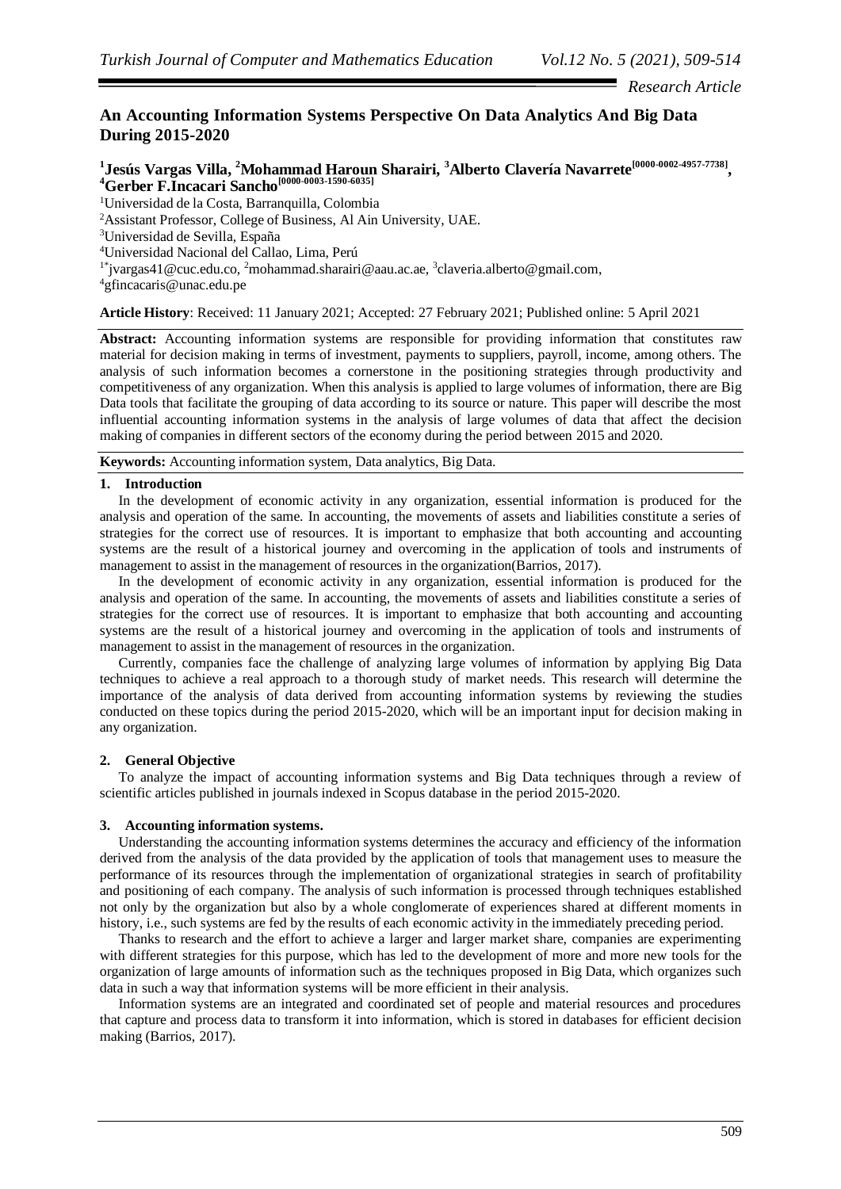*Research Article*

# **An Accounting Information Systems Perspective On Data Analytics And Big Data During 2015-2020**

# **1 Jesús Vargas Villa, <sup>2</sup>Mohammad Haroun Sharairi, <sup>3</sup>Alberto Clavería Navarrete[0000-0002-4957-7738] , <sup>4</sup>Gerber F.Incacari Sancho[0000-0003-1590-6035]**

<sup>1</sup>Universidad de la Costa, Barranquilla, Colombia

<sup>2</sup>Assistant Professor, College of Business, Al Ain University, UAE.

<sup>3</sup>Universidad de Sevilla, España

<sup>4</sup>Universidad Nacional del Callao, Lima, Perú

<sup>1\*</sup>[jvargas41@cuc.edu.co,](mailto:jvargas41@cuc.edu.co) <sup>2</sup>[mohammad.sharairi@aau.ac.ae,](mailto:mohammad.sharairi@aau.ac.ae) <sup>3</sup>[claveria.alberto@gmail.com,](mailto:claveria.alberto@gmail.com)

<sup>4</sup>[gfincacaris@unac.edu.pe](mailto:4gfincacaris@unac.edu.pe)

**Article History**: Received: 11 January 2021; Accepted: 27 February 2021; Published online: 5 April 2021

**Abstract:** Accounting information systems are responsible for providing information that constitutes raw material for decision making in terms of investment, payments to suppliers, payroll, income, among others. The analysis of such information becomes a cornerstone in the positioning strategies through productivity and competitiveness of any organization. When this analysis is applied to large volumes of information, there are Big Data tools that facilitate the grouping of data according to its source or nature. This paper will describe the most influential accounting information systems in the analysis of large volumes of data that affect the decision making of companies in different sectors of the economy during the period between 2015 and 2020.

**Keywords:** Accounting information system, Data analytics, Big Data.

# **1. Introduction**

In the development of economic activity in any organization, essential information is produced for the analysis and operation of the same. In accounting, the movements of assets and liabilities constitute a series of strategies for the correct use of resources. It is important to emphasize that both accounting and accounting systems are the result of a historical journey and overcoming in the application of tools and instruments of management to assist in the management of resources in the organization(Barrios, 2017).

In the development of economic activity in any organization, essential information is produced for the analysis and operation of the same. In accounting, the movements of assets and liabilities constitute a series of strategies for the correct use of resources. It is important to emphasize that both accounting and accounting systems are the result of a historical journey and overcoming in the application of tools and instruments of management to assist in the management of resources in the organization.

Currently, companies face the challenge of analyzing large volumes of information by applying Big Data techniques to achieve a real approach to a thorough study of market needs. This research will determine the importance of the analysis of data derived from accounting information systems by reviewing the studies conducted on these topics during the period 2015-2020, which will be an important input for decision making in any organization.

# **2. General Objective**

To analyze the impact of accounting information systems and Big Data techniques through a review of scientific articles published in journals indexed in Scopus database in the period 2015-2020.

# **3. Accounting information systems.**

Understanding the accounting information systems determines the accuracy and efficiency of the information derived from the analysis of the data provided by the application of tools that management uses to measure the performance of its resources through the implementation of organizational strategies in search of profitability and positioning of each company. The analysis of such information is processed through techniques established not only by the organization but also by a whole conglomerate of experiences shared at different moments in history, i.e., such systems are fed by the results of each economic activity in the immediately preceding period.

Thanks to research and the effort to achieve a larger and larger market share, companies are experimenting with different strategies for this purpose, which has led to the development of more and more new tools for the organization of large amounts of information such as the techniques proposed in Big Data, which organizes such data in such a way that information systems will be more efficient in their analysis.

Information systems are an integrated and coordinated set of people and material resources and procedures that capture and process data to transform it into information, which is stored in databases for efficient decision making (Barrios, 2017).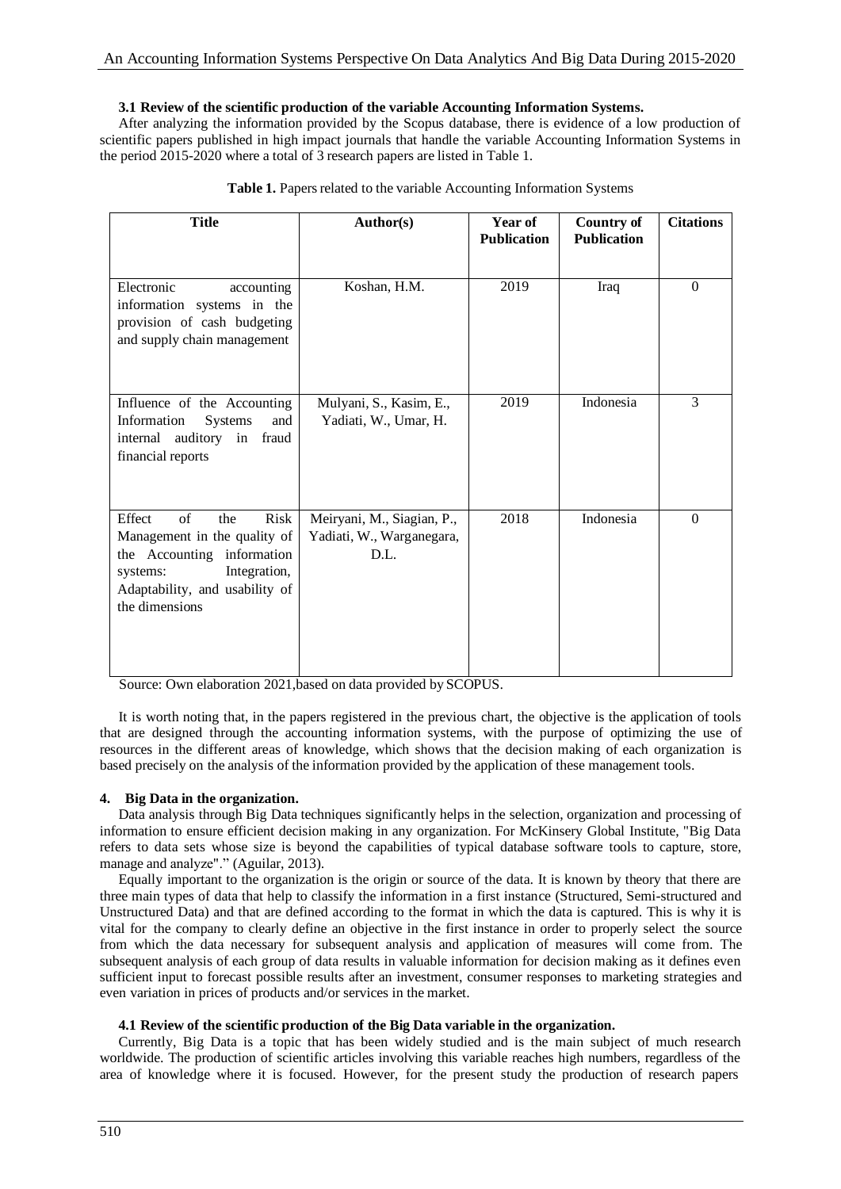# **3.1 Review of the scientific production of the variable Accounting Information Systems.**

After analyzing the information provided by the Scopus database, there is evidence of a low production of scientific papers published in high impact journals that handle the variable Accounting Information Systems in the period 2015-2020 where a total of 3 research papers are listed in Table 1.

| <b>Title</b>                                                                                                                                                              | <b>Author(s)</b>                                                | Year of<br><b>Publication</b> | <b>Country of</b><br><b>Publication</b> | <b>Citations</b> |
|---------------------------------------------------------------------------------------------------------------------------------------------------------------------------|-----------------------------------------------------------------|-------------------------------|-----------------------------------------|------------------|
| Electronic<br>accounting<br>information systems in the<br>provision of cash budgeting<br>and supply chain management                                                      | Koshan, H.M.                                                    | 2019                          | Iraq                                    | $\Omega$         |
| Influence of the Accounting<br>Information<br><b>Systems</b><br>and<br>internal auditory in fraud<br>financial reports                                                    | Mulyani, S., Kasim, E.,<br>Yadiati, W., Umar, H.                | 2019                          | Indonesia                               | 3                |
| of<br>Effect<br>Risk<br>the<br>Management in the quality of<br>the Accounting information<br>Integration,<br>systems:<br>Adaptability, and usability of<br>the dimensions | Meiryani, M., Siagian, P.,<br>Yadiati, W., Warganegara,<br>D.L. | 2018                          | Indonesia                               | $\Omega$         |

|  | Table 1. Papers related to the variable Accounting Information Systems |  |
|--|------------------------------------------------------------------------|--|
|--|------------------------------------------------------------------------|--|

Source: Own elaboration 2021,based on data provided by SCOPUS.

It is worth noting that, in the papers registered in the previous chart, the objective is the application of tools that are designed through the accounting information systems, with the purpose of optimizing the use of resources in the different areas of knowledge, which shows that the decision making of each organization is based precisely on the analysis of the information provided by the application of these management tools.

# **4. Big Data in the organization.**

Data analysis through Big Data techniques significantly helps in the selection, organization and processing of information to ensure efficient decision making in any organization. For McKinsery Global Institute, "Big Data refers to data sets whose size is beyond the capabilities of typical database software tools to capture, store, manage and analyze"." (Aguilar, 2013).

Equally important to the organization is the origin or source of the data. It is known by theory that there are three main types of data that help to classify the information in a first instance (Structured, Semi-structured and Unstructured Data) and that are defined according to the format in which the data is captured. This is why it is vital for the company to clearly define an objective in the first instance in order to properly select the source from which the data necessary for subsequent analysis and application of measures will come from. The subsequent analysis of each group of data results in valuable information for decision making as it defines even sufficient input to forecast possible results after an investment, consumer responses to marketing strategies and even variation in prices of products and/or services in the market.

# **4.1 Review of the scientific production of the Big Data variable in the organization.**

Currently, Big Data is a topic that has been widely studied and is the main subject of much research worldwide. The production of scientific articles involving this variable reaches high numbers, regardless of the area of knowledge where it is focused. However, for the present study the production of research papers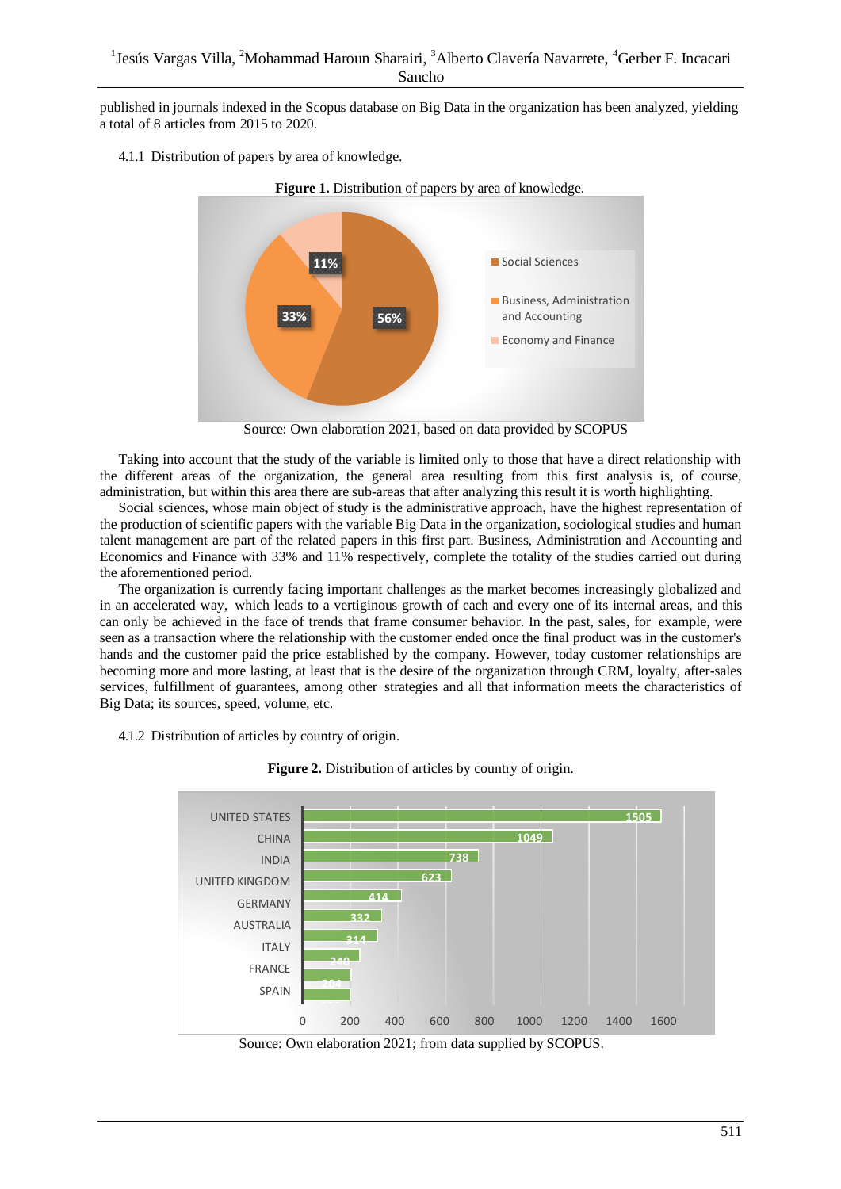published in journals indexed in the Scopus database on Big Data in the organization has been analyzed, yielding a total of 8 articles from 2015 to 2020.

4.1.1 Distribution of papers by area of knowledge.



Source: Own elaboration 2021, based on data provided by SCOPUS

Taking into account that the study of the variable is limited only to those that have a direct relationship with the different areas of the organization, the general area resulting from this first analysis is, of course, administration, but within this area there are sub-areas that after analyzing this result it is worth highlighting.

Social sciences, whose main object of study is the administrative approach, have the highest representation of the production of scientific papers with the variable Big Data in the organization, sociological studies and human talent management are part of the related papers in this first part. Business, Administration and Accounting and Economics and Finance with 33% and 11% respectively, complete the totality of the studies carried out during the aforementioned period.

The organization is currently facing important challenges as the market becomes increasingly globalized and in an accelerated way, which leads to a vertiginous growth of each and every one of its internal areas, and this can only be achieved in the face of trends that frame consumer behavior. In the past, sales, for example, were seen as a transaction where the relationship with the customer ended once the final product was in the customer's hands and the customer paid the price established by the company. However, today customer relationships are becoming more and more lasting, at least that is the desire of the organization through CRM, loyalty, after-sales services, fulfillment of guarantees, among other strategies and all that information meets the characteristics of Big Data; its sources, speed, volume, etc.

4.1.2 Distribution of articles by country of origin.



**Figure 2.** Distribution of articles by country of origin*.*

Source: Own elaboration 2021; from data supplied by SCOPUS.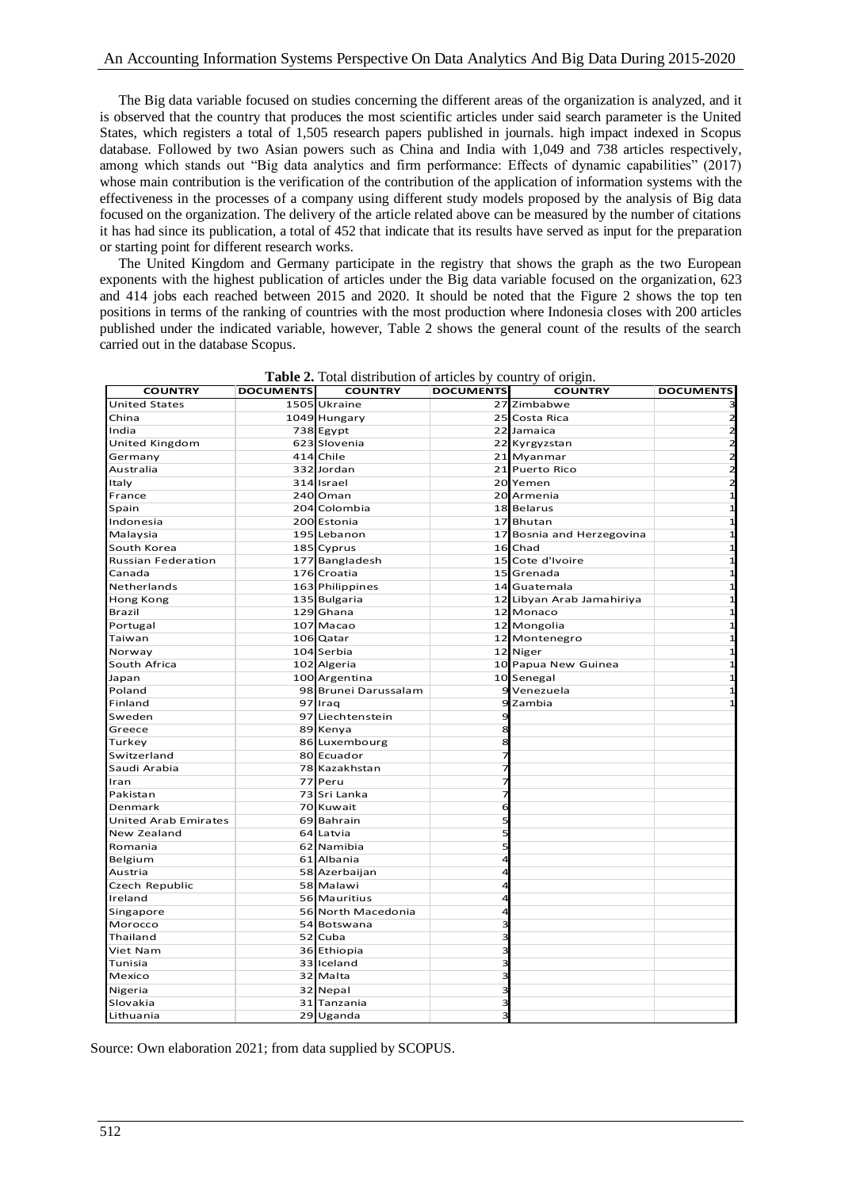The Big data variable focused on studies concerning the different areas of the organization is analyzed, and it is observed that the country that produces the most scientific articles under said search parameter is the United States, which registers a total of 1,505 research papers published in journals. high impact indexed in Scopus database. Followed by two Asian powers such as China and India with 1,049 and 738 articles respectively, among which stands out "Big data analytics and firm performance: Effects of dynamic capabilities" (2017) whose main contribution is the verification of the contribution of the application of information systems with the effectiveness in the processes of a company using different study models proposed by the analysis of Big data focused on the organization. The delivery of the article related above can be measured by the number of citations it has had since its publication, a total of 452 that indicate that its results have served as input for the preparation or starting point for different research works.

The United Kingdom and Germany participate in the registry that shows the graph as the two European exponents with the highest publication of articles under the Big data variable focused on the organization, 623 and 414 jobs each reached between 2015 and 2020. It should be noted that the Figure 2 shows the top ten positions in terms of the ranking of countries with the most production where Indonesia closes with 200 articles published under the indicated variable, however, Table 2 shows the general count of the results of the search carried out in the database Scopus.

| <b>COUNTRY</b>              | <b>DOCUMENTS</b> | <b>COUNTRY</b>       | <b>DOCUMENTS</b> | <b>COUNTRY</b>            | <b>DOCUMENTS</b> |
|-----------------------------|------------------|----------------------|------------------|---------------------------|------------------|
| <b>United States</b>        |                  | 1505 Ukraine         |                  | 27 Zimbabwe               |                  |
| China                       |                  | 1049 Hungary         |                  | 25 Costa Rica             | $\overline{a}$   |
| India                       |                  | 738 Egypt            |                  | 22 Jamaica                | $\overline{z}$   |
| United Kingdom              |                  | 623 Slovenia         |                  | 22 Kyrgyzstan             | $\overline{a}$   |
| Germany                     |                  | 414 Chile            |                  | 21 Myanmar                | $\overline{2}$   |
| Australia                   |                  | 332 Jordan           |                  | 21 Puerto Rico            | $\overline{2}$   |
| Italy                       |                  | 314 Israel           |                  | 20 Yemen                  | $\overline{z}$   |
| France                      |                  | 240 Oman             |                  | 20 Armenia                | $\mathbf{1}$     |
| Spain                       |                  | 204 Colombia         |                  | 18 Belarus                | $\mathbf{1}$     |
| Indonesia                   |                  | 200 Estonia          |                  | 17 Bhutan                 | $\overline{1}$   |
| Malaysia                    |                  | 195 Lebanon          |                  | 17 Bosnia and Herzegovina | $\mathbf{1}$     |
| South Korea                 |                  | 185 Cyprus           |                  | 16 Chad                   | $\mathbf{1}$     |
| <b>Russian Federation</b>   |                  | 177 Bangladesh       |                  | 15 Cote d'Ivoire          | $\mathbf{1}$     |
| Canada                      |                  | 176 Croatia          |                  | 15 Grenada                | $\mathbf{1}$     |
| Netherlands                 |                  | 163 Philippines      |                  | 14 Guatemala              | $\mathbf{1}$     |
| Hong Kong                   |                  | 135 Bulgaria         |                  | 12 Libyan Arab Jamahiriya | $\mathbf{1}$     |
| <b>Brazil</b>               |                  | 129 Ghana            |                  | 12 Monaco                 | $\mathbf{1}$     |
| Portugal                    |                  | 107 Macao            |                  | 12 Mongolia               | $\mathbf{1}$     |
| Taiwan                      |                  | 106 Qatar            |                  | 12 Montenegro             | $\mathbf{1}$     |
| Norway                      |                  | 104 Serbia           |                  | 12 Niger                  | $\mathbf{1}$     |
| South Africa                |                  | 102 Algeria          |                  | 10 Papua New Guinea       | $\mathbf{1}$     |
| Japan                       |                  | 100 Argentina        |                  | 10 Senegal                | $\mathbf{1}$     |
| Poland                      |                  | 98 Brunei Darussalam |                  | 9 Venezuela               | $\mathbf{1}$     |
| Finland                     |                  | 97 Iraq              |                  | 9 Zambia                  | $\mathbf{1}$     |
| Sweden                      |                  | 97 Liechtenstein     | 9                |                           |                  |
| Greece                      |                  | 89 Kenya             | 8                |                           |                  |
| Turkey                      |                  | 86 Luxembourg        | 8                |                           |                  |
| Switzerland                 |                  | 80 Ecuador           |                  |                           |                  |
| Saudi Arabia                |                  | 78 Kazakhstan        |                  |                           |                  |
| Iran                        |                  | 77 Peru              |                  |                           |                  |
| Pakistan                    |                  | 73 Sri Lanka         |                  |                           |                  |
| Denmark                     |                  | 70 Kuwait            | 6                |                           |                  |
| <b>United Arab Emirates</b> |                  | 69 Bahrain           |                  |                           |                  |
| New Zealand                 |                  | 64 Latvia            | 5                |                           |                  |
| Romania                     |                  | 62 Namibia           |                  |                           |                  |
| Belgium                     |                  | 61 Albania           | 4                |                           |                  |
| Austria                     |                  | 58 Azerbaijan        |                  |                           |                  |
| Czech Republic              |                  | 58 Malawi            |                  |                           |                  |
| Ireland                     |                  | 56 Mauritius         | Δ                |                           |                  |
| Singapore                   |                  | 56 North Macedonia   |                  |                           |                  |
| Morocco                     |                  | 54 Botswana          |                  |                           |                  |
| Thailand                    |                  | 52 Cuba              |                  |                           |                  |
| Viet Nam                    |                  | 36 Ethiopia          | 3                |                           |                  |
| Tunisia                     |                  | 33 Iceland           | ∍                |                           |                  |
| Mexico                      |                  | 32 Malta             | 3                |                           |                  |
| Nigeria                     |                  | 32 Nepal             |                  |                           |                  |
| Slovakia                    |                  | 31 Tanzania          | 3                |                           |                  |
| Lithuania                   |                  | 29 Uganda            | 3                |                           |                  |

**Table 2.** Total distribution of articles by country of origin.

Source: Own elaboration 2021; from data supplied by SCOPUS.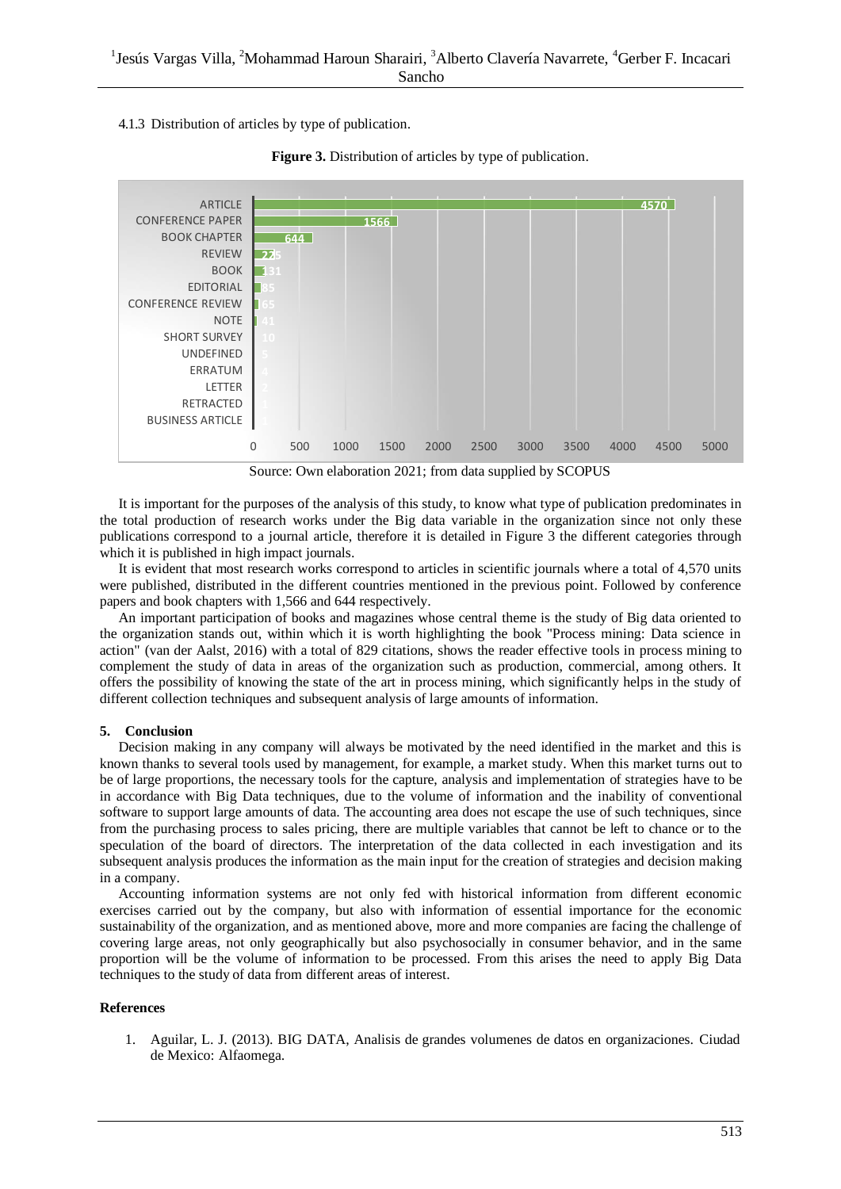4.1.3 Distribution of articles by type of publication.



**Figure 3.** Distribution of articles by type of publication.

Source: Own elaboration 2021; from data supplied by SCOPUS

It is important for the purposes of the analysis of this study, to know what type of publication predominates in the total production of research works under the Big data variable in the organization since not only these publications correspond to a journal article, therefore it is detailed in Figure 3 the different categories through which it is published in high impact journals.

It is evident that most research works correspond to articles in scientific journals where a total of 4,570 units were published, distributed in the different countries mentioned in the previous point. Followed by conference papers and book chapters with 1,566 and 644 respectively.

An important participation of books and magazines whose central theme is the study of Big data oriented to the organization stands out, within which it is worth highlighting the book "Process mining: Data science in action" (van der Aalst, 2016) with a total of 829 citations, shows the reader effective tools in process mining to complement the study of data in areas of the organization such as production, commercial, among others. It offers the possibility of knowing the state of the art in process mining, which significantly helps in the study of different collection techniques and subsequent analysis of large amounts of information.

# **5. Conclusion**

Decision making in any company will always be motivated by the need identified in the market and this is known thanks to several tools used by management, for example, a market study. When this market turns out to be of large proportions, the necessary tools for the capture, analysis and implementation of strategies have to be in accordance with Big Data techniques, due to the volume of information and the inability of conventional software to support large amounts of data. The accounting area does not escape the use of such techniques, since from the purchasing process to sales pricing, there are multiple variables that cannot be left to chance or to the speculation of the board of directors. The interpretation of the data collected in each investigation and its subsequent analysis produces the information as the main input for the creation of strategies and decision making in a company.

Accounting information systems are not only fed with historical information from different economic exercises carried out by the company, but also with information of essential importance for the economic sustainability of the organization, and as mentioned above, more and more companies are facing the challenge of covering large areas, not only geographically but also psychosocially in consumer behavior, and in the same proportion will be the volume of information to be processed. From this arises the need to apply Big Data techniques to the study of data from different areas of interest.

# **References**

1. Aguilar, L. J. (2013). BIG DATA, Analisis de grandes volumenes de datos en organizaciones. Ciudad de Mexico: Alfaomega.